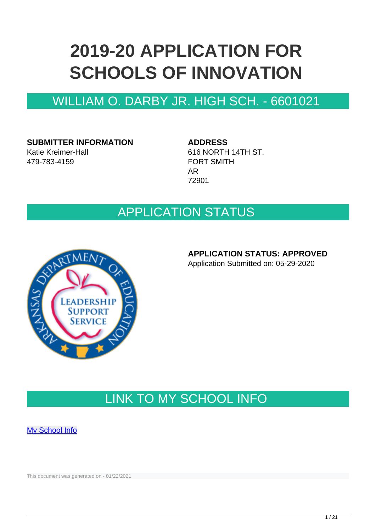# **2019-20 APPLICATION FOR SCHOOLS OF INNOVATION**

### WILLIAM O. DARBY JR. HIGH SCH. - 6601021

**SUBMITTER INFORMATION** Katie Kreimer-Hall 479-783-4159

**ADDRESS**

616 NORTH 14TH ST. FORT SMITH AR 72901

### APPLICATION STATUS



### **APPLICATION STATUS: APPROVED**

Application Submitted on: 05-29-2020

# LINK TO MY SCHOOL INFO

**[My School Info](https://myschoolinfo.arkansas.gov/Schools/Search?OperationContext=None&SearchFlag=School&Query=6601021)** 

This document was generated on - 01/22/2021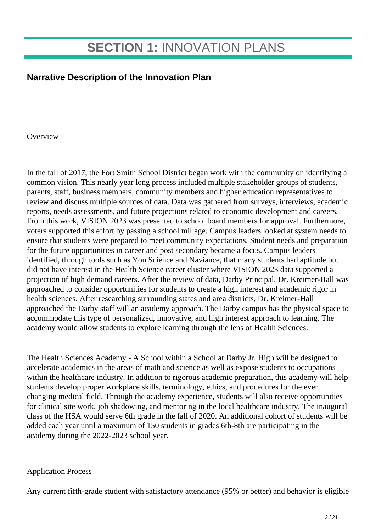# **SECTION 1:** INNOVATION PLANS

### **Narrative Description of the Innovation Plan**

**Overview** 

In the fall of 2017, the Fort Smith School District began work with the community on identifying a common vision. This nearly year long process included multiple stakeholder groups of students, parents, staff, business members, community members and higher education representatives to review and discuss multiple sources of data. Data was gathered from surveys, interviews, academic reports, needs assessments, and future projections related to economic development and careers. From this work, VISION 2023 was presented to school board members for approval. Furthermore, voters supported this effort by passing a school millage. Campus leaders looked at system needs to ensure that students were prepared to meet community expectations. Student needs and preparation for the future opportunities in career and post secondary became a focus. Campus leaders identified, through tools such as You Science and Naviance, that many students had aptitude but did not have interest in the Health Science career cluster where VISION 2023 data supported a projection of high demand careers. After the review of data, Darby Principal, Dr. Kreimer-Hall was approached to consider opportunities for students to create a high interest and academic rigor in health sciences. After researching surrounding states and area districts, Dr. Kreimer-Hall approached the Darby staff will an academy approach. The Darby campus has the physical space to accommodate this type of personalized, innovative, and high interest approach to learning. The academy would allow students to explore learning through the lens of Health Sciences.

The Health Sciences Academy - A School within a School at Darby Jr. High will be designed to accelerate academics in the areas of math and science as well as expose students to occupations within the healthcare industry. In addition to rigorous academic preparation, this academy will help students develop proper workplace skills, terminology, ethics, and procedures for the ever changing medical field. Through the academy experience, students will also receive opportunities for clinical site work, job shadowing, and mentoring in the local healthcare industry. The inaugural class of the HSA would serve 6th grade in the fall of 2020. An additional cohort of students will be added each year until a maximum of 150 students in grades 6th-8th are participating in the academy during the 2022-2023 school year.

#### Application Process

Any current fifth-grade student with satisfactory attendance (95% or better) and behavior is eligible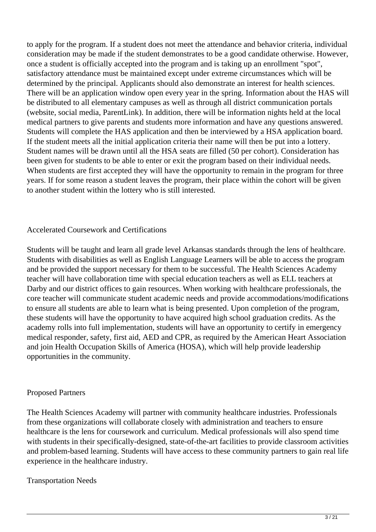to apply for the program. If a student does not meet the attendance and behavior criteria, individual consideration may be made if the student demonstrates to be a good candidate otherwise. However, once a student is officially accepted into the program and is taking up an enrollment "spot", satisfactory attendance must be maintained except under extreme circumstances which will be determined by the principal. Applicants should also demonstrate an interest for health sciences. There will be an application window open every year in the spring. Information about the HAS will be distributed to all elementary campuses as well as through all district communication portals (website, social media, ParentLink). In addition, there will be information nights held at the local medical partners to give parents and students more information and have any questions answered. Students will complete the HAS application and then be interviewed by a HSA application board. If the student meets all the initial application criteria their name will then be put into a lottery. Student names will be drawn until all the HSA seats are filled (50 per cohort). Consideration has been given for students to be able to enter or exit the program based on their individual needs. When students are first accepted they will have the opportunity to remain in the program for three years. If for some reason a student leaves the program, their place within the cohort will be given to another student within the lottery who is still interested.

#### Accelerated Coursework and Certifications

Students will be taught and learn all grade level Arkansas standards through the lens of healthcare. Students with disabilities as well as English Language Learners will be able to access the program and be provided the support necessary for them to be successful. The Health Sciences Academy teacher will have collaboration time with special education teachers as well as ELL teachers at Darby and our district offices to gain resources. When working with healthcare professionals, the core teacher will communicate student academic needs and provide accommodations/modifications to ensure all students are able to learn what is being presented. Upon completion of the program, these students will have the opportunity to have acquired high school graduation credits. As the academy rolls into full implementation, students will have an opportunity to certify in emergency medical responder, safety, first aid, AED and CPR, as required by the American Heart Association and join Health Occupation Skills of America (HOSA), which will help provide leadership opportunities in the community.

#### Proposed Partners

The Health Sciences Academy will partner with community healthcare industries. Professionals from these organizations will collaborate closely with administration and teachers to ensure healthcare is the lens for coursework and curriculum. Medical professionals will also spend time with students in their specifically-designed, state-of-the-art facilities to provide classroom activities and problem-based learning. Students will have access to these community partners to gain real life experience in the healthcare industry.

#### Transportation Needs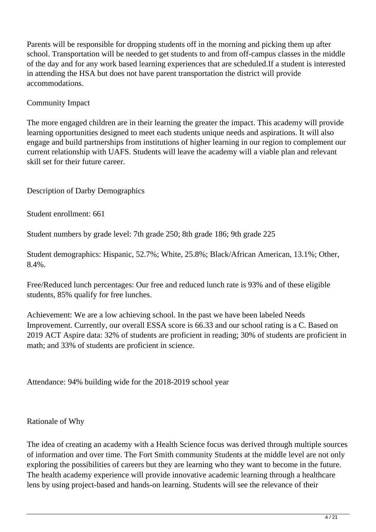Parents will be responsible for dropping students off in the morning and picking them up after school. Transportation will be needed to get students to and from off-campus classes in the middle of the day and for any work based learning experiences that are scheduled.If a student is interested in attending the HSA but does not have parent transportation the district will provide accommodations.

### Community Impact

The more engaged children are in their learning the greater the impact. This academy will provide learning opportunities designed to meet each students unique needs and aspirations. It will also engage and build partnerships from institutions of higher learning in our region to complement our current relationship with UAFS. Students will leave the academy will a viable plan and relevant skill set for their future career.

Description of Darby Demographics

Student enrollment: 661

Student numbers by grade level: 7th grade 250; 8th grade 186; 9th grade 225

Student demographics: Hispanic, 52.7%; White, 25.8%; Black/African American, 13.1%; Other, 8.4%.

Free/Reduced lunch percentages: Our free and reduced lunch rate is 93% and of these eligible students, 85% qualify for free lunches.

Achievement: We are a low achieving school. In the past we have been labeled Needs Improvement. Currently, our overall ESSA score is 66.33 and our school rating is a C. Based on 2019 ACT Aspire data: 32% of students are proficient in reading; 30% of students are proficient in math; and 33% of students are proficient in science.

Attendance: 94% building wide for the 2018-2019 school year

#### Rationale of Why

The idea of creating an academy with a Health Science focus was derived through multiple sources of information and over time. The Fort Smith community Students at the middle level are not only exploring the possibilities of careers but they are learning who they want to become in the future. The health academy experience will provide innovative academic learning through a healthcare lens by using project-based and hands-on learning. Students will see the relevance of their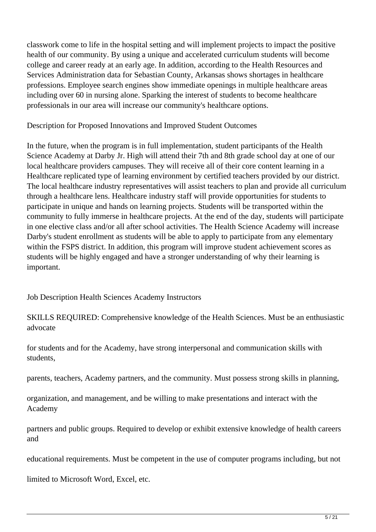classwork come to life in the hospital setting and will implement projects to impact the positive health of our community. By using a unique and accelerated curriculum students will become college and career ready at an early age. In addition, according to the Health Resources and Services Administration data for Sebastian County, Arkansas shows shortages in healthcare professions. Employee search engines show immediate openings in multiple healthcare areas including over 60 in nursing alone. Sparking the interest of students to become healthcare professionals in our area will increase our community's healthcare options.

Description for Proposed Innovations and Improved Student Outcomes

In the future, when the program is in full implementation, student participants of the Health Science Academy at Darby Jr. High will attend their 7th and 8th grade school day at one of our local healthcare providers campuses. They will receive all of their core content learning in a Healthcare replicated type of learning environment by certified teachers provided by our district. The local healthcare industry representatives will assist teachers to plan and provide all curriculum through a healthcare lens. Healthcare industry staff will provide opportunities for students to participate in unique and hands on learning projects. Students will be transported within the community to fully immerse in healthcare projects. At the end of the day, students will participate in one elective class and/or all after school activities. The Health Science Academy will increase Darby's student enrollment as students will be able to apply to participate from any elementary within the FSPS district. In addition, this program will improve student achievement scores as students will be highly engaged and have a stronger understanding of why their learning is important.

Job Description Health Sciences Academy Instructors

SKILLS REQUIRED: Comprehensive knowledge of the Health Sciences. Must be an enthusiastic advocate

for students and for the Academy, have strong interpersonal and communication skills with students,

parents, teachers, Academy partners, and the community. Must possess strong skills in planning,

organization, and management, and be willing to make presentations and interact with the Academy

partners and public groups. Required to develop or exhibit extensive knowledge of health careers and

educational requirements. Must be competent in the use of computer programs including, but not

limited to Microsoft Word, Excel, etc.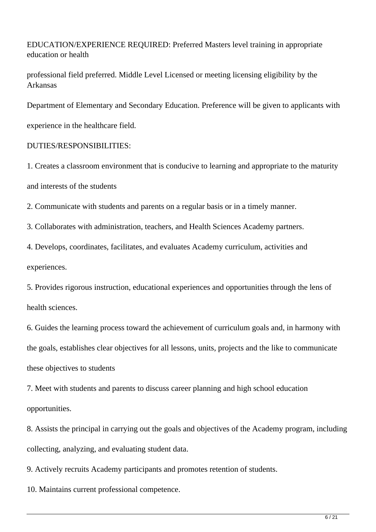EDUCATION/EXPERIENCE REQUIRED: Preferred Masters level training in appropriate education or health

professional field preferred. Middle Level Licensed or meeting licensing eligibility by the Arkansas

Department of Elementary and Secondary Education. Preference will be given to applicants with

experience in the healthcare field.

#### DUTIES/RESPONSIBILITIES:

1. Creates a classroom environment that is conducive to learning and appropriate to the maturity and interests of the students

2. Communicate with students and parents on a regular basis or in a timely manner.

3. Collaborates with administration, teachers, and Health Sciences Academy partners.

4. Develops, coordinates, facilitates, and evaluates Academy curriculum, activities and experiences.

5. Provides rigorous instruction, educational experiences and opportunities through the lens of health sciences.

6. Guides the learning process toward the achievement of curriculum goals and, in harmony with the goals, establishes clear objectives for all lessons, units, projects and the like to communicate these objectives to students

7. Meet with students and parents to discuss career planning and high school education opportunities.

8. Assists the principal in carrying out the goals and objectives of the Academy program, including collecting, analyzing, and evaluating student data.

9. Actively recruits Academy participants and promotes retention of students.

10. Maintains current professional competence.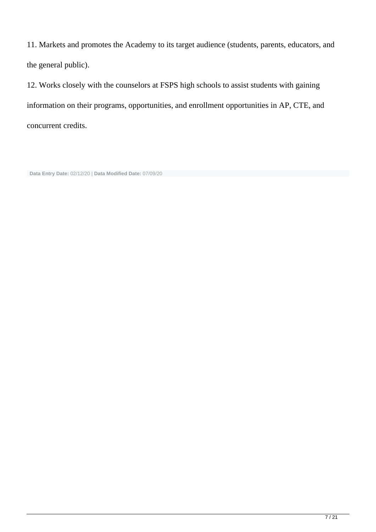11. Markets and promotes the Academy to its target audience (students, parents, educators, and the general public).

12. Works closely with the counselors at FSPS high schools to assist students with gaining information on their programs, opportunities, and enrollment opportunities in AP, CTE, and concurrent credits.

**Data Entry Date:** 02/12/20 | **Data Modified Date:** 07/09/20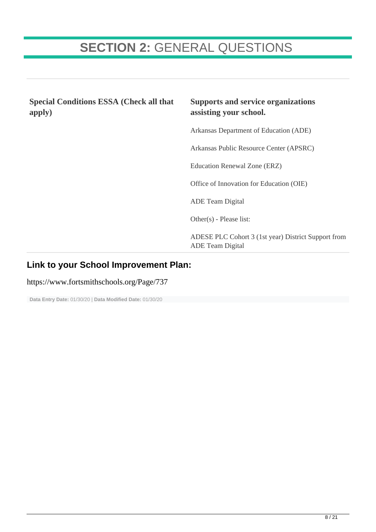# **SECTION 2:** GENERAL QUESTIONS

**Special Conditions ESSA (Check all that apply)**

### **Supports and service organizations assisting your school.**

Arkansas Department of Education (ADE)

Arkansas Public Resource Center (APSRC)

Education Renewal Zone (ERZ)

Office of Innovation for Education (OIE)

ADE Team Digital

Other(s) - Please list:

ADESE PLC Cohort 3 (1st year) District Support from ADE Team Digital

#### **Link to your School Improvement Plan:**

https://www.fortsmithschools.org/Page/737

**Data Entry Date:** 01/30/20 | **Data Modified Date:** 01/30/20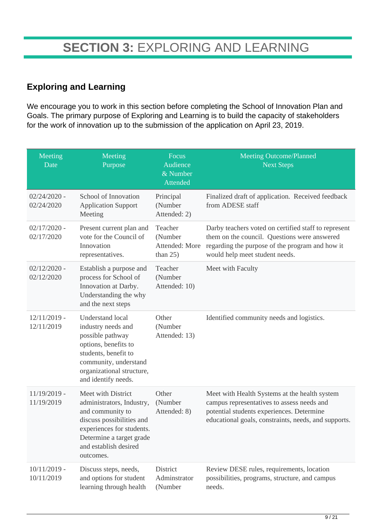### **Exploring and Learning**

We encourage you to work in this section before completing the School of Innovation Plan and Goals. The primary purpose of Exploring and Learning is to build the capacity of stakeholders for the work of innovation up to the submission of the application on April 23, 2019.

| Meeting<br>Date              | Meeting<br>Purpose                                                                                                                                                                              | Focus<br>Audience<br>& Number<br>Attended           | <b>Meeting Outcome/Planned</b><br><b>Next Steps</b>                                                                                                                                              |
|------------------------------|-------------------------------------------------------------------------------------------------------------------------------------------------------------------------------------------------|-----------------------------------------------------|--------------------------------------------------------------------------------------------------------------------------------------------------------------------------------------------------|
| $02/24/2020$ -<br>02/24/2020 | School of Innovation<br><b>Application Support</b><br>Meeting                                                                                                                                   | Principal<br>(Number<br>Attended: 2)                | Finalized draft of application. Received feedback<br>from ADESE staff                                                                                                                            |
| $02/17/2020$ -<br>02/17/2020 | Present current plan and<br>vote for the Council of<br>Innovation<br>representatives.                                                                                                           | Teacher<br>(Number<br>Attended: More<br>than $25$ ) | Darby teachers voted on certified staff to represent<br>them on the council. Questions were answered<br>regarding the purpose of the program and how it<br>would help meet student needs.        |
| $02/12/2020$ -<br>02/12/2020 | Establish a purpose and<br>process for School of<br>Innovation at Darby.<br>Understanding the why<br>and the next steps                                                                         | Teacher<br>(Number<br>Attended: 10)                 | Meet with Faculty                                                                                                                                                                                |
| $12/11/2019$ -<br>12/11/2019 | <b>Understand local</b><br>industry needs and<br>possible pathway<br>options, benefits to<br>students, benefit to<br>community, understand<br>organizational structure,<br>and identify needs.  | Other<br>(Number<br>Attended: 13)                   | Identified community needs and logistics.                                                                                                                                                        |
| $11/19/2019$ -<br>11/19/2019 | Meet with District<br>administrators, Industry,<br>and community to<br>discuss possibilities and<br>experiences for students.<br>Determine a target grade<br>and establish desired<br>outcomes. | Other<br>(Number<br>Attended: 8)                    | Meet with Health Systems at the health system<br>campus representatives to assess needs and<br>potential students experiences. Determine<br>educational goals, constraints, needs, and supports. |
| $10/11/2019$ -<br>10/11/2019 | Discuss steps, needs,<br>and options for student<br>learning through health                                                                                                                     | District<br>Adminstrator<br>(Number                 | Review DESE rules, requirements, location<br>possibilities, programs, structure, and campus<br>needs.                                                                                            |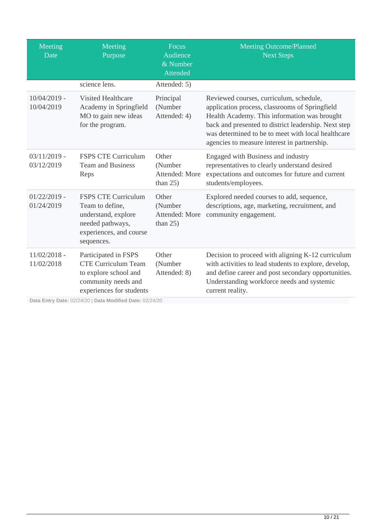| Meeting<br>Date              | Meeting<br>Purpose                                                                                                                | <b>Focus</b><br>Audience<br>& Number<br><b>Attended</b> | <b>Meeting Outcome/Planned</b><br><b>Next Steps</b>                                                                                                                                                                                                                                                     |
|------------------------------|-----------------------------------------------------------------------------------------------------------------------------------|---------------------------------------------------------|---------------------------------------------------------------------------------------------------------------------------------------------------------------------------------------------------------------------------------------------------------------------------------------------------------|
|                              | science lens.                                                                                                                     | Attended: 5)                                            |                                                                                                                                                                                                                                                                                                         |
| $10/04/2019$ -<br>10/04/2019 | <b>Visited Healthcare</b><br>Academy in Springfield<br>MO to gain new ideas<br>for the program.                                   | Principal<br>(Number<br>Attended: 4)                    | Reviewed courses, curriculum, schedule,<br>application process, classrooms of Springfield<br>Health Academy. This information was brought<br>back and presented to district leadership. Next step<br>was determined to be to meet with local healthcare<br>agencies to measure interest in partnership. |
| $03/11/2019$ -<br>03/12/2019 | <b>FSPS CTE Curriculum</b><br><b>Team and Business</b><br>Reps                                                                    | Other<br>(Number<br>Attended: More<br>than $25$ )       | Engaged with Business and industry<br>representatives to clearly understand desired<br>expectations and outcomes for future and current<br>students/employees.                                                                                                                                          |
| $01/22/2019$ -<br>01/24/2019 | <b>FSPS CTE Curriculum</b><br>Team to define,<br>understand, explore<br>needed pathways,<br>experiences, and course<br>sequences. | Other<br>(Number<br>Attended: More<br>than $25$ )       | Explored needed courses to add, sequence,<br>descriptions, age, marketing, recruitment, and<br>community engagement.                                                                                                                                                                                    |
| $11/02/2018$ -<br>11/02/2018 | Participated in FSPS<br><b>CTE Curriculum Team</b><br>to explore school and<br>community needs and<br>experiences for students    | Other<br>(Number<br>Attended: 8)                        | Decision to proceed with aligning K-12 curriculum<br>with activities to lead students to explore, develop,<br>and define career and post secondary opportunities.<br>Understanding workforce needs and systemic<br>current reality.                                                                     |

**Data Entry Date:** 02/24/20 | **Data Modified Date:** 02/24/20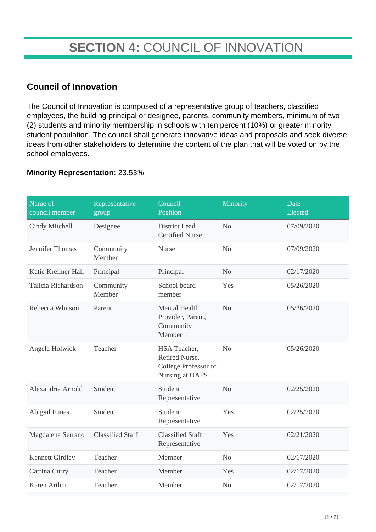# **SECTION 4:** COUNCIL OF INNOVATION

### **Council of Innovation**

The Council of Innovation is composed of a representative group of teachers, classified employees, the building principal or designee, parents, community members, minimum of two (2) students and minority membership in schools with ten percent (10%) or greater minority student population. The council shall generate innovative ideas and proposals and seek diverse ideas from other stakeholders to determine the content of the plan that will be voted on by the school employees.

#### **Minority Representation:** 23.53%

| Name of<br>council member | Representative<br>group | Council<br>Position                                                       | Minority       | Date<br>Elected |
|---------------------------|-------------------------|---------------------------------------------------------------------------|----------------|-----------------|
| Cindy Mitchell            | Designee                | <b>District Lead</b><br><b>Certified Nurse</b>                            | N <sub>o</sub> | 07/09/2020      |
| Jennifer Thomas           | Community<br>Member     | <b>Nurse</b>                                                              | N <sub>o</sub> | 07/09/2020      |
| Katie Kreimer Hall        | Principal               | Principal                                                                 | N <sub>o</sub> | 02/17/2020      |
| Talicia Richardson        | Community<br>Member     | School board<br>member                                                    | Yes            | 05/26/2020      |
| Rebecca Whitson           | Parent                  | Mental Health<br>Provider, Parent,<br>Community<br>Member                 | N <sub>o</sub> | 05/26/2020      |
| Angela Holwick            | Teacher                 | HSA Teacher,<br>Retired Nurse,<br>College Professor of<br>Nursing at UAFS | N <sub>o</sub> | 05/26/2020      |
| Alexandria Arnold         | Student                 | Student<br>Representative                                                 | N <sub>o</sub> | 02/25/2020      |
| <b>Abigail Funes</b>      | Student                 | Student<br>Representative                                                 | Yes            | 02/25/2020      |
| Magdalena Serrano         | <b>Classified Staff</b> | <b>Classified Staff</b><br>Representative                                 | Yes            | 02/21/2020      |
| <b>Kennett Girdley</b>    | Teacher                 | Member                                                                    | N <sub>o</sub> | 02/17/2020      |
| Catrina Curry             | Teacher                 | Member                                                                    | Yes            | 02/17/2020      |
| Karen Arthur              | Teacher                 | Member                                                                    | N <sub>o</sub> | 02/17/2020      |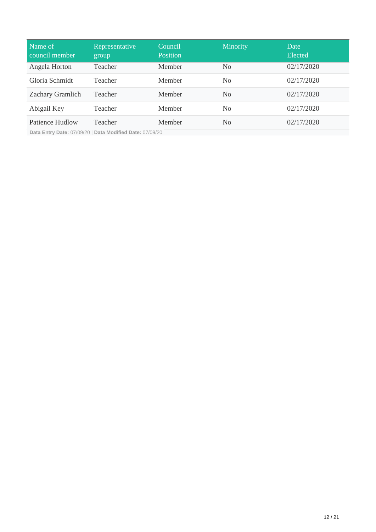| Name of<br>council member | Representative<br>group | Council<br>Position | Minority       | Date<br>Elected |
|---------------------------|-------------------------|---------------------|----------------|-----------------|
| Angela Horton             | Teacher                 | Member              | N <sub>0</sub> | 02/17/2020      |
| Gloria Schmidt            | Teacher                 | Member              | N <sub>0</sub> | 02/17/2020      |
| Zachary Gramlich          | Teacher                 | <b>Member</b>       | N <sub>0</sub> | 02/17/2020      |
| Abigail Key               | Teacher                 | Member              | N <sub>0</sub> | 02/17/2020      |
| Patience Hudlow           | Teacher                 | Member              | N <sub>0</sub> | 02/17/2020      |

**Data Entry Date:** 07/09/20 | **Data Modified Date:** 07/09/20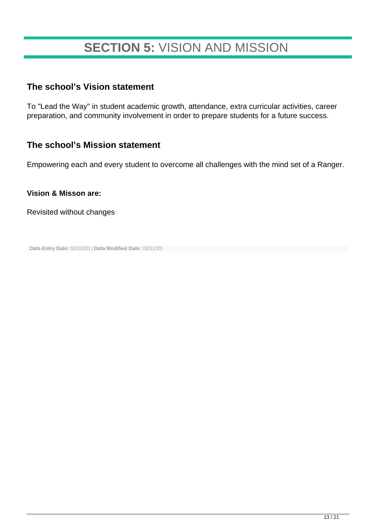# **SECTION 5:** VISION AND MISSION

### **The school's Vision statement**

To "Lead the Way" in student academic growth, attendance, extra curricular activities, career preparation, and community involvement in order to prepare students for a future success.

### **The school's Mission statement**

Empowering each and every student to overcome all challenges with the mind set of a Ranger.

#### **Vision & Misson are:**

Revisited without changes

**Data Entry Date:** 02/12/20 | **Data Modified Date:** 02/12/20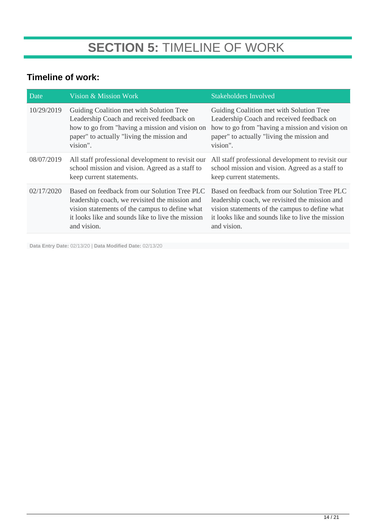### **Timeline of work:**

| Date       | Vision & Mission Work                                                                                                                                                                                                | <b>Stakeholders Involved</b>                                                                                                                                                                                         |
|------------|----------------------------------------------------------------------------------------------------------------------------------------------------------------------------------------------------------------------|----------------------------------------------------------------------------------------------------------------------------------------------------------------------------------------------------------------------|
| 10/29/2019 | Guiding Coalition met with Solution Tree<br>Leadership Coach and received feedback on<br>how to go from "having a mission and vision on<br>paper" to actually "living the mission and<br>vision".                    | Guiding Coalition met with Solution Tree<br>Leadership Coach and received feedback on<br>how to go from "having a mission and vision on<br>paper" to actually "living the mission and<br>vision".                    |
| 08/07/2019 | All staff professional development to revisit our<br>school mission and vision. Agreed as a staff to<br>keep current statements.                                                                                     | All staff professional development to revisit our<br>school mission and vision. Agreed as a staff to<br>keep current statements.                                                                                     |
| 02/17/2020 | Based on feedback from our Solution Tree PLC<br>leadership coach, we revisited the mission and<br>vision statements of the campus to define what<br>it looks like and sounds like to live the mission<br>and vision. | Based on feedback from our Solution Tree PLC<br>leadership coach, we revisited the mission and<br>vision statements of the campus to define what<br>it looks like and sounds like to live the mission<br>and vision. |

**Data Entry Date:** 02/13/20 | **Data Modified Date:** 02/13/20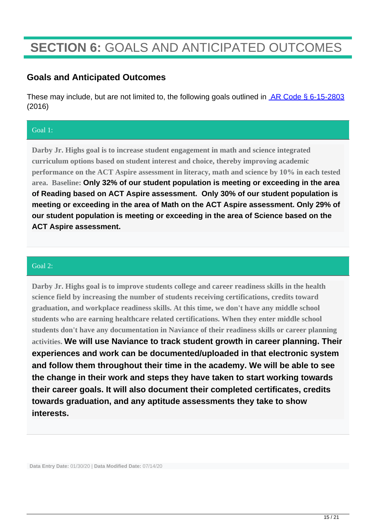# **SECTION 6:** GOALS AND ANTICIPATED OUTCOMES

### **Goals and Anticipated Outcomes**

These may include, but are not limited to, the following goals outlined in [AR Code § 6-15-2803](http://adecm.arkansas.gov/Attachments/A.C.A._Title_6,_Subtitle_2,_Ch._15,_Subchapter_28_Note_110900.pdf) (2016)

#### Goal 1:

**Darby Jr. Highs goal is to increase student engagement in math and science integrated curriculum options based on student interest and choice, thereby improving academic performance on the ACT Aspire assessment in literacy, math and science by 10% in each tested area. Baseline: Only 32% of our student population is meeting or exceeding in the area of Reading based on ACT Aspire assessment. Only 30% of our student population is meeting or exceeding in the area of Math on the ACT Aspire assessment. Only 29% of our student population is meeting or exceeding in the area of Science based on the ACT Aspire assessment.** 

#### Goal 2:

**Darby Jr. Highs goal is to improve students college and career readiness skills in the health science field by increasing the number of students receiving certifications, credits toward graduation, and workplace readiness skills. At this time, we don't have any middle school students who are earning healthcare related certifications. When they enter middle school students don't have any documentation in Naviance of their readiness skills or career planning activities. We will use Naviance to track student growth in career planning. Their experiences and work can be documented/uploaded in that electronic system and follow them throughout their time in the academy. We will be able to see the change in their work and steps they have taken to start working towards their career goals. It will also document their completed certificates, credits towards graduation, and any aptitude assessments they take to show interests.**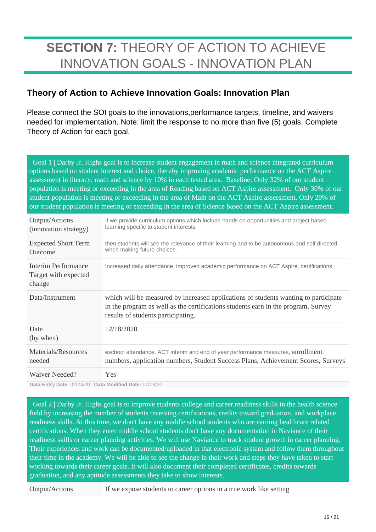# **SECTION 7:** THEORY OF ACTION TO ACHIEVE INNOVATION GOALS - INNOVATION PLAN

### **Theory of Action to Achieve Innovation Goals: Innovation Plan**

Please connect the SOI goals to the innovations,performance targets, timeline, and waivers needed for implementation. Note: limit the response to no more than five (5) goals. Complete Theory of Action for each goal.

Goal 1 | Darby Jr. Highs goal is to increase student engagement in math and science integrated curriculum options based on student interest and choice, thereby improving academic performance on the ACT Aspire assessment in literacy, math and science by 10% in each tested area. Baseline: Only 32% of our student population is meeting or exceeding in the area of Reading based on ACT Aspire assessment. Only 30% of our student population is meeting or exceeding in the area of Math on the ACT Aspire assessment. Only 29% of our student population is meeting or exceeding in the area of Science based on the ACT Aspire assessment.

| Output/Actions<br>(innovation strategy)               | If we provide curriculum options which include hands on opportunities and project based<br>learning specific to student interests                                                                              |
|-------------------------------------------------------|----------------------------------------------------------------------------------------------------------------------------------------------------------------------------------------------------------------|
| <b>Expected Short Term</b><br>Outcome                 | then students will see the relevance of their learning and to be autonomous and self directed<br>when making future choices.                                                                                   |
| Interim Performance<br>Target with expected<br>change | Increased daily attendance, improved academic performance on ACT Aspire, certifications                                                                                                                        |
| Data/Instrument                                       | which will be measured by increased applications of students wanting to participate<br>in the program as well as the certifications students earn in the program. Survey<br>results of students participating. |
| Date<br>(by when)                                     | 12/18/2020                                                                                                                                                                                                     |
| Materials/Resources<br>needed                         | eschool attendance, ACT interim and end of year performance measures, enrollment<br>numbers, application numbers, Student Success Plans, Achievement Scores, Surveys                                           |
| Waiver Needed?                                        | Yes                                                                                                                                                                                                            |

**Data Entry Date:** 02/24/20 | **Data Modified Date:** 07/09/20

 Goal 2 | Darby Jr. Highs goal is to improve students college and career readiness skills in the health science field by increasing the number of students receiving certifications, credits toward graduation, and workplace readiness skills. At this time, we don't have any middle school students who are earning healthcare related certifications. When they enter middle school students don't have any documentation in Naviance of their readiness skills or career planning activities. We will use Naviance to track student growth in career planning. Their experiences and work can be documented/uploaded in that electronic system and follow them throughout their time in the academy. We will be able to see the change in their work and steps they have taken to start working towards their career goals. It will also document their completed certificates, credits towards graduation, and any aptitude assessments they take to show interests.

Output/Actions If we expose students to career options in a true work like setting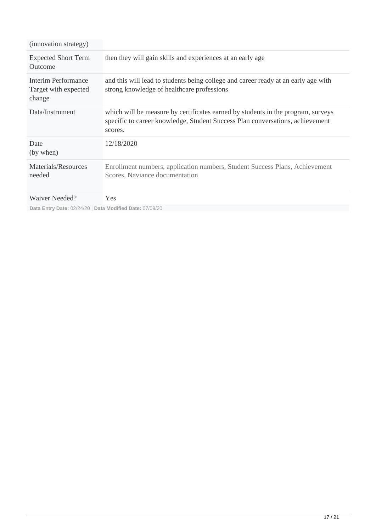| (innovation strategy)                                    |                                                                                                                                                                              |
|----------------------------------------------------------|------------------------------------------------------------------------------------------------------------------------------------------------------------------------------|
| <b>Expected Short Term</b><br>Outcome                    | then they will gain skills and experiences at an early age                                                                                                                   |
| Interim Performance<br>Target with expected<br>change    | and this will lead to students being college and career ready at an early age with<br>strong knowledge of healthcare professions                                             |
| Data/Instrument                                          | which will be measure by certificates earned by students in the program, surveys<br>specific to career knowledge, Student Success Plan conversations, achievement<br>scores. |
| Date<br>(by when)                                        | 12/18/2020                                                                                                                                                                   |
| Materials/Resources<br>needed                            | Enrollment numbers, application numbers, Student Success Plans, Achievement<br>Scores, Naviance documentation                                                                |
| Waiver Needed?                                           | <b>Yes</b>                                                                                                                                                                   |
| Data Entry Date: 02/24/20   Data Modified Date: 07/09/20 |                                                                                                                                                                              |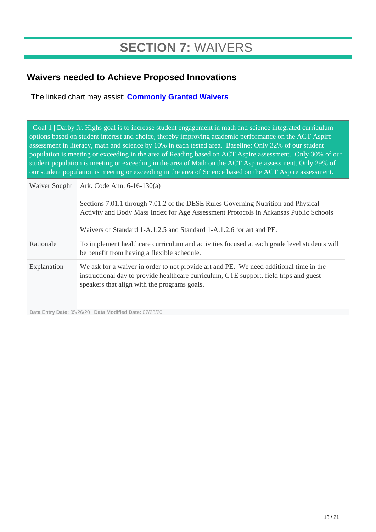# **SECTION 7:** WAIVERS

### **Waivers needed to Achieve Proposed Innovations**

The linked chart may assist: **[Commonly Granted Waivers](http://www.arkansased.gov/public/userfiles/Learning_Services/Charter%20and%20Home%20School/Charter%20School-Division%20of%20Learning%20Services/Applications/Waiver_Document.pdf)**

 Goal 1 | Darby Jr. Highs goal is to increase student engagement in math and science integrated curriculum options based on student interest and choice, thereby improving academic performance on the ACT Aspire assessment in literacy, math and science by 10% in each tested area. Baseline: Only 32% of our student population is meeting or exceeding in the area of Reading based on ACT Aspire assessment. Only 30% of our student population is meeting or exceeding in the area of Math on the ACT Aspire assessment. Only 29% of our student population is meeting or exceeding in the area of Science based on the ACT Aspire assessment.

| Waiver Sought | Ark. Code Ann. $6-16-130(a)$                                                                                                                                                                                                     |
|---------------|----------------------------------------------------------------------------------------------------------------------------------------------------------------------------------------------------------------------------------|
|               | Sections 7.01.1 through 7.01.2 of the DESE Rules Governing Nutrition and Physical<br>Activity and Body Mass Index for Age Assessment Protocols in Arkansas Public Schools                                                        |
|               | Waivers of Standard 1-A.1.2.5 and Standard 1-A.1.2.6 for art and PE.                                                                                                                                                             |
| Rationale     | To implement healthcare curriculum and activities focused at each grade level students will<br>be benefit from having a flexible schedule.                                                                                       |
| Explanation   | We ask for a waiver in order to not provide art and PE. We need additional time in the<br>instructional day to provide healthcare curriculum, CTE support, field trips and guest<br>speakers that align with the programs goals. |

**Data Entry Date:** 05/26/20 | **Data Modified Date:** 07/28/20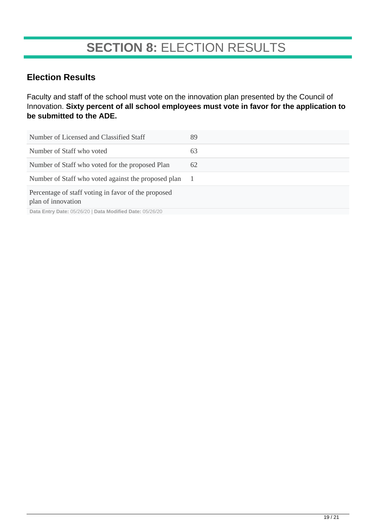# **SECTION 8:** ELECTION RESULTS

### **Election Results**

Faculty and staff of the school must vote on the innovation plan presented by the Council of Innovation. **Sixty percent of all school employees must vote in favor for the application to be submitted to the ADE.**

| 89 |
|----|
| 63 |
| 62 |
|    |
|    |
|    |

**Data Entry Date:** 05/26/20 | **Data Modified Date:** 05/26/20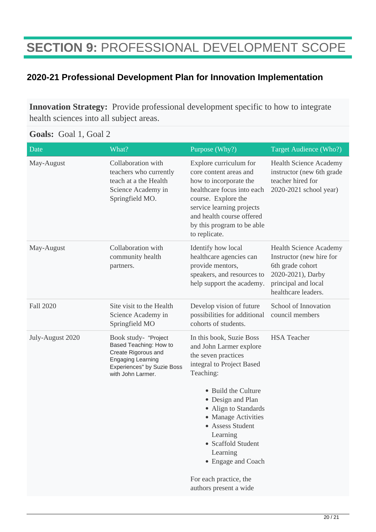# **SECTION 9:** PROFESSIONAL DEVELOPMENT SCOPE

### **2020-21 Professional Development Plan for Innovation Implementation**

**Innovation Strategy:** Provide professional development specific to how to integrate health sciences into all subject areas.

#### **Goals:** Goal 1, Goal 2

| Date             | What?                                                                                                                                                | Purpose (Why?)                                                                                                                                                                                                                                                                                                                         | Target Audience (Who?)                                                                                                                           |
|------------------|------------------------------------------------------------------------------------------------------------------------------------------------------|----------------------------------------------------------------------------------------------------------------------------------------------------------------------------------------------------------------------------------------------------------------------------------------------------------------------------------------|--------------------------------------------------------------------------------------------------------------------------------------------------|
| May-August       | Collaboration with<br>teachers who currently<br>teach at a the Health<br>Science Academy in<br>Springfield MO.                                       | Explore curriculum for<br>core content areas and<br>how to incorporate the<br>healthcare focus into each<br>course. Explore the<br>service learning projects<br>and health course offered<br>by this program to be able<br>to replicate.                                                                                               | <b>Health Science Academy</b><br>instructor (new 6th grade<br>teacher hired for<br>2020-2021 school year)                                        |
| May-August       | Collaboration with<br>community health<br>partners.                                                                                                  | Identify how local<br>healthcare agencies can<br>provide mentors,<br>speakers, and resources to<br>help support the academy.                                                                                                                                                                                                           | <b>Health Science Academy</b><br>Instructor (new hire for<br>6th grade cohort<br>2020-2021), Darby<br>principal and local<br>healthcare leaders. |
| Fall 2020        | Site visit to the Health<br>Science Academy in<br>Springfield MO                                                                                     | Develop vision of future<br>possibilities for additional<br>cohorts of students.                                                                                                                                                                                                                                                       | School of Innovation<br>council members                                                                                                          |
| July-August 2020 | Book study- "Project<br>Based Teaching: How to<br>Create Rigorous and<br><b>Engaging Learning</b><br>Experiences" by Suzie Boss<br>with John Larmer. | In this book, Suzie Boss<br>and John Larmer explore<br>the seven practices<br>integral to Project Based<br>Teaching:<br>• Build the Culture<br>• Design and Plan<br>• Align to Standards<br>• Manage Activities<br><b>Assess Student</b><br>Learning<br>• Scaffold Student<br>Learning<br>• Engage and Coach<br>For each practice, the | <b>HSA</b> Teacher                                                                                                                               |
|                  |                                                                                                                                                      | authors present a wide                                                                                                                                                                                                                                                                                                                 |                                                                                                                                                  |